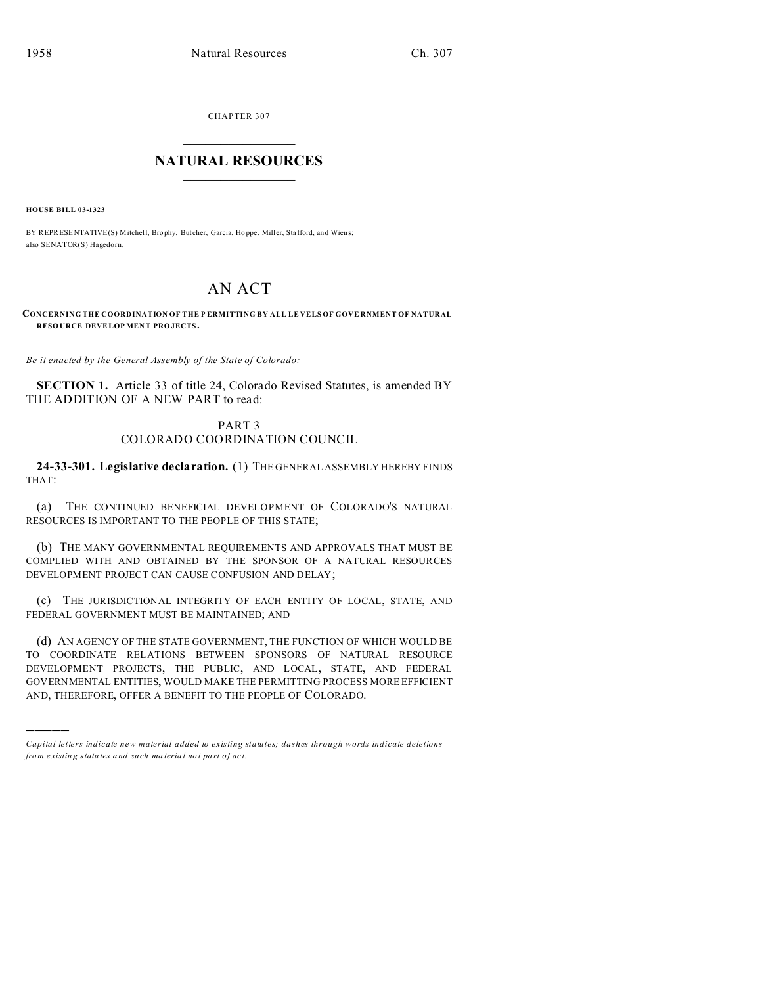CHAPTER 307  $\overline{\phantom{a}}$  , where  $\overline{\phantom{a}}$ 

## **NATURAL RESOURCES**  $\frac{1}{\sqrt{2}}$  ,  $\frac{1}{\sqrt{2}}$  ,  $\frac{1}{\sqrt{2}}$  ,  $\frac{1}{\sqrt{2}}$  ,  $\frac{1}{\sqrt{2}}$  ,  $\frac{1}{\sqrt{2}}$

**HOUSE BILL 03-1323**

)))))

BY REPRESENTATIVE(S) Mitchell, Brophy, Butcher, Garcia, Hoppe, Miller, Stafford, and Wiens; also SENATOR(S) Hagedorn.

## AN ACT

**CONCERNING THE COORDINATION OF THE P ERMITTING BY ALL LE VELS OF GOVE RNMENT OF NATURAL RESO URCE DEVELOP MEN T PRO JECTS.**

*Be it enacted by the General Assembly of the State of Colorado:*

**SECTION 1.** Article 33 of title 24, Colorado Revised Statutes, is amended BY THE ADDITION OF A NEW PART to read:

## PART 3 COLORADO COORDINATION COUNCIL

**24-33-301. Legislative declaration.** (1) THE GENERAL ASSEMBLY HEREBY FINDS THAT:

(a) THE CONTINUED BENEFICIAL DEVELOPMENT OF COLORADO'S NATURAL RESOURCES IS IMPORTANT TO THE PEOPLE OF THIS STATE;

(b) THE MANY GOVERNMENTAL REQUIREMENTS AND APPROVALS THAT MUST BE COMPLIED WITH AND OBTAINED BY THE SPONSOR OF A NATURAL RESOURCES DEVELOPMENT PROJECT CAN CAUSE CONFUSION AND DELAY;

(c) THE JURISDICTIONAL INTEGRITY OF EACH ENTITY OF LOCAL, STATE, AND FEDERAL GOVERNMENT MUST BE MAINTAINED; AND

(d) AN AGENCY OF THE STATE GOVERNMENT, THE FUNCTION OF WHICH WOULD BE TO COORDINATE RELATIONS BETWEEN SPONSORS OF NATURAL RESOURCE DEVELOPMENT PROJECTS, THE PUBLIC, AND LOCAL, STATE, AND FEDERAL GOVERNMENTAL ENTITIES, WOULD MAKE THE PERMITTING PROCESS MORE EFFICIENT AND, THEREFORE, OFFER A BENEFIT TO THE PEOPLE OF COLORADO.

*Capital letters indicate new material added to existing statutes; dashes through words indicate deletions from e xistin g statu tes a nd such ma teria l no t pa rt of ac t.*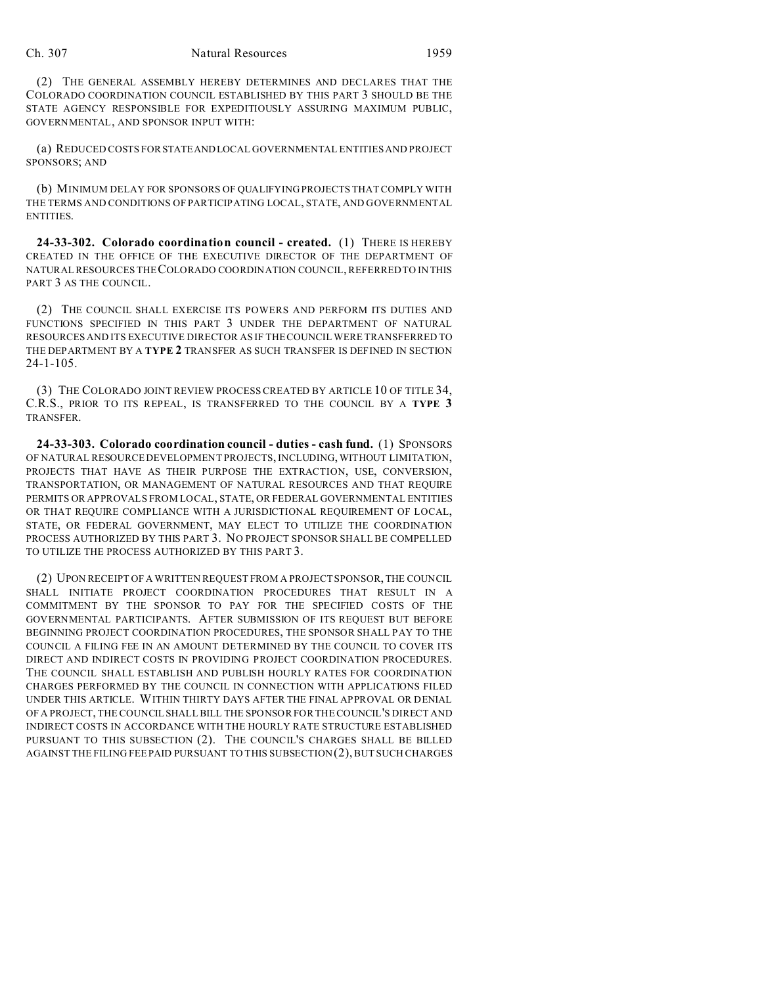(2) THE GENERAL ASSEMBLY HEREBY DETERMINES AND DECLARES THAT THE COLORADO COORDINATION COUNCIL ESTABLISHED BY THIS PART 3 SHOULD BE THE STATE AGENCY RESPONSIBLE FOR EXPEDITIOUSLY ASSURING MAXIMUM PUBLIC, GOVERNMENTAL, AND SPONSOR INPUT WITH:

(a) REDUCED COSTS FOR STATEANDLOCAL GOVERNMENTAL ENTITIES AND PROJECT SPONSORS; AND

(b) MINIMUM DELAY FOR SPONSORS OF QUALIFYING PROJECTS THAT COMPLY WITH THE TERMS AND CONDITIONS OF PARTICIPATING LOCAL, STATE, AND GOVERNMENTAL ENTITIES.

**24-33-302. Colorado coordination council - created.** (1) THERE IS HEREBY CREATED IN THE OFFICE OF THE EXECUTIVE DIRECTOR OF THE DEPARTMENT OF NATURAL RESOURCES THE COLORADO COORDINATION COUNCIL, REFERRED TO IN THIS PART 3 AS THE COUNCIL.

(2) THE COUNCIL SHALL EXERCISE ITS POWERS AND PERFORM ITS DUTIES AND FUNCTIONS SPECIFIED IN THIS PART 3 UNDER THE DEPARTMENT OF NATURAL RESOURCES AND ITS EXECUTIVE DIRECTOR AS IF THE COUNCIL WERE TRANSFERRED TO THE DEPARTMENT BY A **TYPE 2** TRANSFER AS SUCH TRANSFER IS DEFINED IN SECTION  $24 - 1 - 105$ .

(3) THE COLORADO JOINT REVIEW PROCESS CREATED BY ARTICLE 10 OF TITLE 34, C.R.S., PRIOR TO ITS REPEAL, IS TRANSFERRED TO THE COUNCIL BY A **TYPE 3** TRANSFER.

**24-33-303. Colorado coordination council - duties - cash fund.** (1) SPONSORS OF NATURAL RESOURCE DEVELOPMENT PROJECTS, INCLUDING, WITHOUT LIMITATION, PROJECTS THAT HAVE AS THEIR PURPOSE THE EXTRACTION, USE, CONVERSION, TRANSPORTATION, OR MANAGEMENT OF NATURAL RESOURCES AND THAT REQUIRE PERMITS OR APPROVALS FROM LOCAL, STATE, OR FEDERAL GOVERNMENTAL ENTITIES OR THAT REQUIRE COMPLIANCE WITH A JURISDICTIONAL REQUIREMENT OF LOCAL, STATE, OR FEDERAL GOVERNMENT, MAY ELECT TO UTILIZE THE COORDINATION PROCESS AUTHORIZED BY THIS PART 3. NO PROJECT SPONSOR SHALL BE COMPELLED TO UTILIZE THE PROCESS AUTHORIZED BY THIS PART 3.

(2) UPON RECEIPT OF A WRITTEN REQUEST FROM A PROJECT SPONSOR, THE COUNCIL SHALL INITIATE PROJECT COORDINATION PROCEDURES THAT RESULT IN A COMMITMENT BY THE SPONSOR TO PAY FOR THE SPECIFIED COSTS OF THE GOVERNMENTAL PARTICIPANTS. AFTER SUBMISSION OF ITS REQUEST BUT BEFORE BEGINNING PROJECT COORDINATION PROCEDURES, THE SPONSOR SHALL PAY TO THE COUNCIL A FILING FEE IN AN AMOUNT DETERMINED BY THE COUNCIL TO COVER ITS DIRECT AND INDIRECT COSTS IN PROVIDING PROJECT COORDINATION PROCEDURES. THE COUNCIL SHALL ESTABLISH AND PUBLISH HOURLY RATES FOR COORDINATION CHARGES PERFORMED BY THE COUNCIL IN CONNECTION WITH APPLICATIONS FILED UNDER THIS ARTICLE. WITHIN THIRTY DAYS AFTER THE FINAL APPROVAL OR DENIAL OF A PROJECT, THE COUNCIL SHALL BILL THE SPONSOR FOR THE COUNCIL'S DIRECT AND INDIRECT COSTS IN ACCORDANCE WITH THE HOURLY RATE STRUCTURE ESTABLISHED PURSUANT TO THIS SUBSECTION (2). THE COUNCIL'S CHARGES SHALL BE BILLED AGAINST THE FILING FEE PAID PURSUANT TO THIS SUBSECTION (2), BUT SUCH CHARGES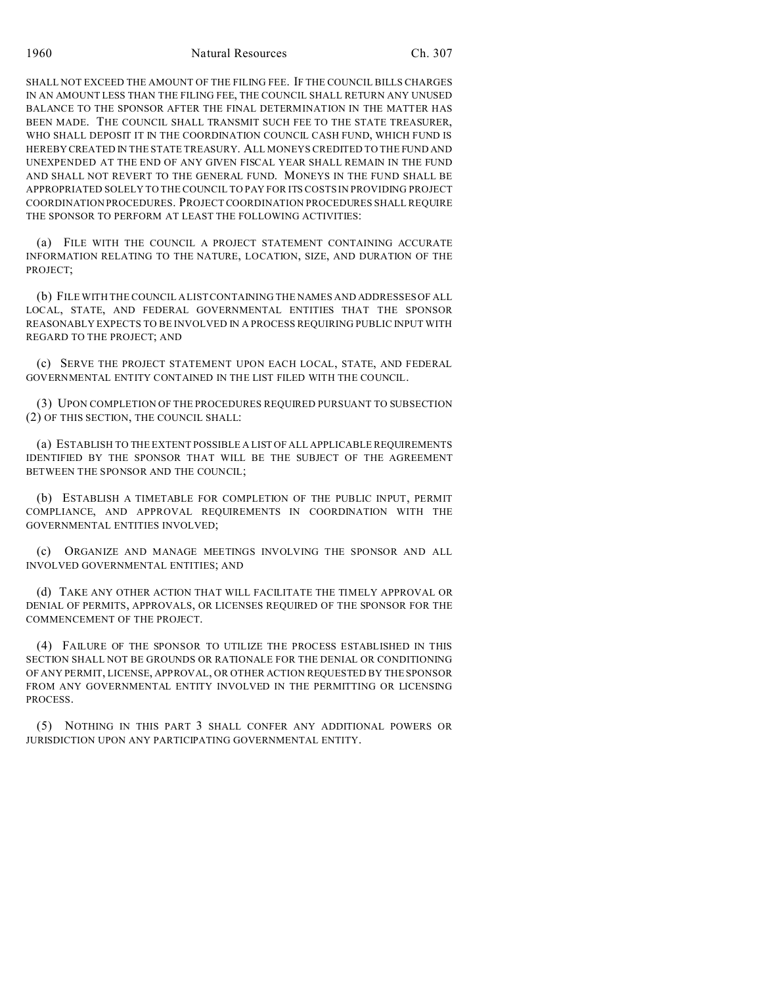SHALL NOT EXCEED THE AMOUNT OF THE FILING FEE. IF THE COUNCIL BILLS CHARGES IN AN AMOUNT LESS THAN THE FILING FEE, THE COUNCIL SHALL RETURN ANY UNUSED BALANCE TO THE SPONSOR AFTER THE FINAL DETERMINATION IN THE MATTER HAS BEEN MADE. THE COUNCIL SHALL TRANSMIT SUCH FEE TO THE STATE TREASURER, WHO SHALL DEPOSIT IT IN THE COORDINATION COUNCIL CASH FUND, WHICH FUND IS HEREBY CREATED IN THE STATE TREASURY. ALL MONEYS CREDITED TO THE FUND AND UNEXPENDED AT THE END OF ANY GIVEN FISCAL YEAR SHALL REMAIN IN THE FUND AND SHALL NOT REVERT TO THE GENERAL FUND. MONEYS IN THE FUND SHALL BE APPROPRIATED SOLELY TO THE COUNCIL TO PAY FOR ITS COSTS IN PROVIDING PROJECT COORDINATION PROCEDURES. PROJECT COORDINATION PROCEDURES SHALL REQUIRE THE SPONSOR TO PERFORM AT LEAST THE FOLLOWING ACTIVITIES:

(a) FILE WITH THE COUNCIL A PROJECT STATEMENT CONTAINING ACCURATE INFORMATION RELATING TO THE NATURE, LOCATION, SIZE, AND DURATION OF THE PROJECT;

(b) FILE WITH THE COUNCIL A LIST CONTAINING THE NAMES AND ADDRESSES OF ALL LOCAL, STATE, AND FEDERAL GOVERNMENTAL ENTITIES THAT THE SPONSOR REASONABLY EXPECTS TO BE INVOLVED IN A PROCESS REQUIRING PUBLIC INPUT WITH REGARD TO THE PROJECT; AND

(c) SERVE THE PROJECT STATEMENT UPON EACH LOCAL, STATE, AND FEDERAL GOVERNMENTAL ENTITY CONTAINED IN THE LIST FILED WITH THE COUNCIL.

(3) UPON COMPLETION OF THE PROCEDURES REQUIRED PURSUANT TO SUBSECTION (2) OF THIS SECTION, THE COUNCIL SHALL:

(a) ESTABLISH TO THE EXTENT POSSIBLE A LIST OF ALL APPLICABLE REQUIREMENTS IDENTIFIED BY THE SPONSOR THAT WILL BE THE SUBJECT OF THE AGREEMENT BETWEEN THE SPONSOR AND THE COUNCIL;

(b) ESTABLISH A TIMETABLE FOR COMPLETION OF THE PUBLIC INPUT, PERMIT COMPLIANCE, AND APPROVAL REQUIREMENTS IN COORDINATION WITH THE GOVERNMENTAL ENTITIES INVOLVED;

(c) ORGANIZE AND MANAGE MEETINGS INVOLVING THE SPONSOR AND ALL INVOLVED GOVERNMENTAL ENTITIES; AND

(d) TAKE ANY OTHER ACTION THAT WILL FACILITATE THE TIMELY APPROVAL OR DENIAL OF PERMITS, APPROVALS, OR LICENSES REQUIRED OF THE SPONSOR FOR THE COMMENCEMENT OF THE PROJECT.

(4) FAILURE OF THE SPONSOR TO UTILIZE THE PROCESS ESTABLISHED IN THIS SECTION SHALL NOT BE GROUNDS OR RATIONALE FOR THE DENIAL OR CONDITIONING OF ANY PERMIT, LICENSE, APPROVAL, OR OTHER ACTION REQUESTED BY THE SPONSOR FROM ANY GOVERNMENTAL ENTITY INVOLVED IN THE PERMITTING OR LICENSING PROCESS.

(5) NOTHING IN THIS PART 3 SHALL CONFER ANY ADDITIONAL POWERS OR JURISDICTION UPON ANY PARTICIPATING GOVERNMENTAL ENTITY.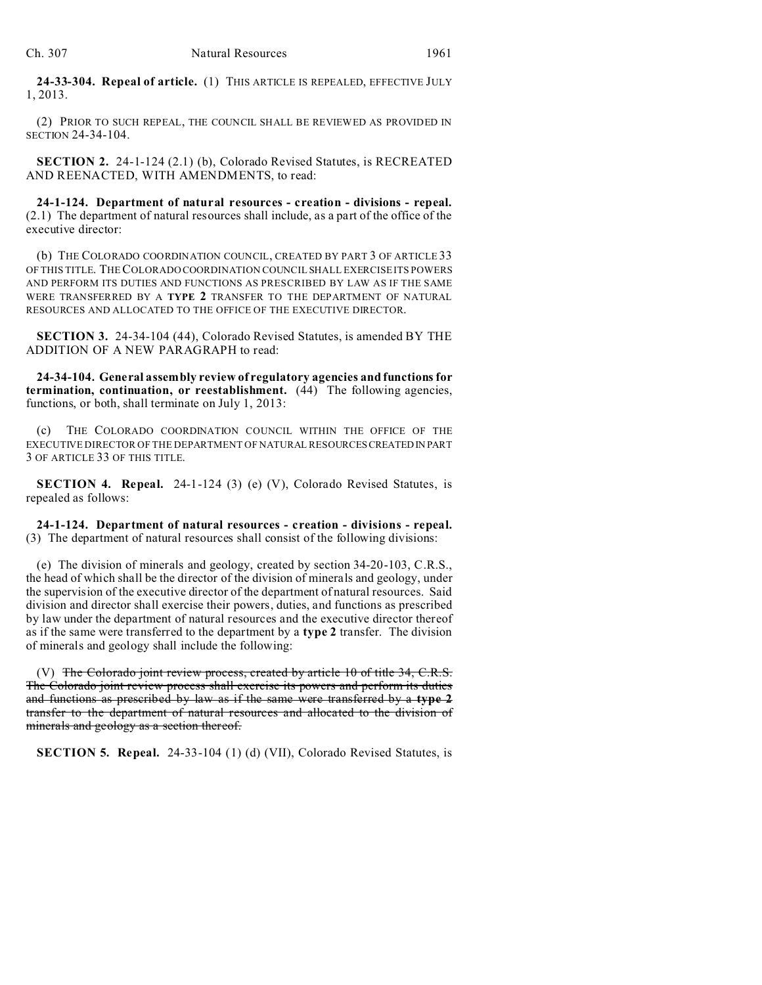**24-33-304. Repeal of article.** (1) THIS ARTICLE IS REPEALED, EFFECTIVE JULY 1, 2013.

(2) PRIOR TO SUCH REPEAL, THE COUNCIL SHALL BE REVIEWED AS PROVIDED IN SECTION 24-34-104.

**SECTION 2.** 24-1-124 (2.1) (b), Colorado Revised Statutes, is RECREATED AND REENACTED, WITH AMENDMENTS, to read:

**24-1-124. Department of natural resources - creation - divisions - repeal.** (2.1) The department of natural resources shall include, as a part of the office of the executive director:

(b) THE COLORADO COORDINATION COUNCIL, CREATED BY PART 3 OF ARTICLE 33 OF THIS TITLE. THE COLORADO COORDINATION COUNCIL SHALL EXERCISE ITS POWERS AND PERFORM ITS DUTIES AND FUNCTIONS AS PRESCRIBED BY LAW AS IF THE SAME WERE TRANSFERRED BY A **TYPE 2** TRANSFER TO THE DEPARTMENT OF NATURAL RESOURCES AND ALLOCATED TO THE OFFICE OF THE EXECUTIVE DIRECTOR.

**SECTION 3.** 24-34-104 (44), Colorado Revised Statutes, is amended BY THE ADDITION OF A NEW PARAGRAPH to read:

**24-34-104. General assembly review of regulatory agencies and functions for termination, continuation, or reestablishment.** (44) The following agencies, functions, or both, shall terminate on July 1, 2013:

(c) THE COLORADO COORDINATION COUNCIL WITHIN THE OFFICE OF THE EXECUTIVE DIRECTOR OF THE DEPARTMENT OF NATURAL RESOURCESCREATEDIN PART 3 OF ARTICLE 33 OF THIS TITLE.

**SECTION 4. Repeal.** 24-1-124 (3) (e) (V), Colorado Revised Statutes, is repealed as follows:

**24-1-124. Department of natural resources - creation - divisions - repeal.** (3) The department of natural resources shall consist of the following divisions:

(e) The division of minerals and geology, created by section 34-20-103, C.R.S., the head of which shall be the director of the division of minerals and geology, under the supervision of the executive director of the department of natural resources. Said division and director shall exercise their powers, duties, and functions as prescribed by law under the department of natural resources and the executive director thereof as if the same were transferred to the department by a **type 2** transfer. The division of minerals and geology shall include the following:

(V) The Colorado joint review process, created by article 10 of title 34,  $C.R.S.$ The Colorado joint review process shall exercise its powers and perform its duties and functions as prescribed by law as if the same were transferred by a **type 2** transfer to the department of natural resources and allocated to the division of minerals and geology as a section thereof.

**SECTION 5. Repeal.** 24-33-104 (1) (d) (VII), Colorado Revised Statutes, is